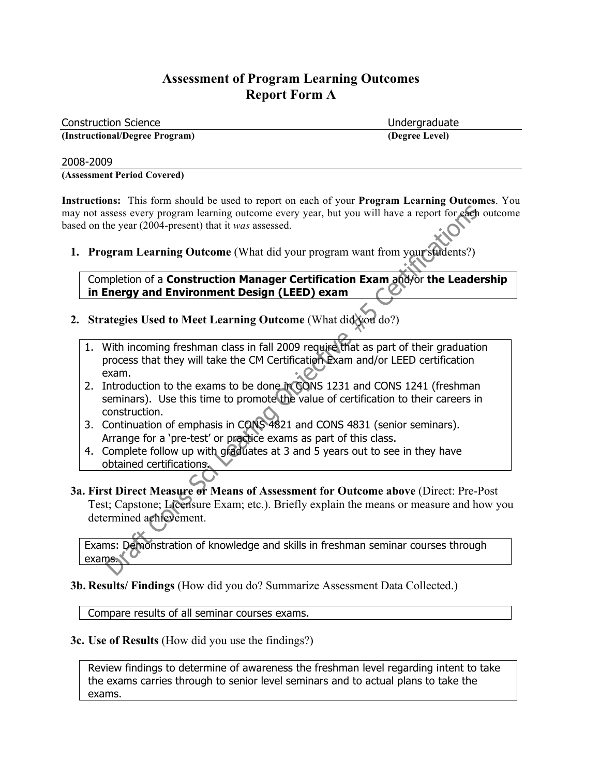| <b>Construction Science</b>    | Undergraduate  |
|--------------------------------|----------------|
| (Instructional/Degree Program) | (Degree Level) |

#### 2008-2009

**(Assessment Period Covered)**

**Instructions:** This form should be used to report on each of your **Program Learning Outcomes**. You may not assess every program learning outcome every year, but you will have a report for each outcome based on the year (2004-present) that it *was* assessed.

**1. Program Learning Outcome** (What did your program want from your students?)

Completion of a **Construction Manager Certification Exam** and/or **the Leadership in Energy and Environment Design (LEED) exam** 

- **2. Strategies Used to Meet Learning Outcome** (What did you do?)
	- 1. With incoming freshman class in fall 2009 require that as part of their graduation process that they will take the CM Certification Exam and/or LEED certification exam.
	- 2. Introduction to the exams to be done in CONS 1231 and CONS 1241 (freshman seminars). Use this time to promote the value of certification to their careers in construction.
	- 3. Continuation of emphasis in CONS 4821 and CONS 4831 (senior seminars). Arrange for a 'pre-test' or practice exams as part of this class.
	- 4. Complete follow up with graduates at 3 and 5 years out to see in they have obtained certifications.
- **3a. First Direct Measure or Means of Assessment for Outcome above** (Direct: Pre-Post Test; Capstone; Licensure Exam; etc.). Briefly explain the means or measure and how you determined achievement.

Exams: Demonstration of knowledge and skills in freshman seminar courses through exams.

**3b. Results/ Findings** (How did you do? Summarize Assessment Data Collected.)

Compare results of all seminar courses exams.

#### **3c. Use of Results** (How did you use the findings?)

Review findings to determine of awareness the freshman level regarding intent to take the exams carries through to senior level seminars and to actual plans to take the exams.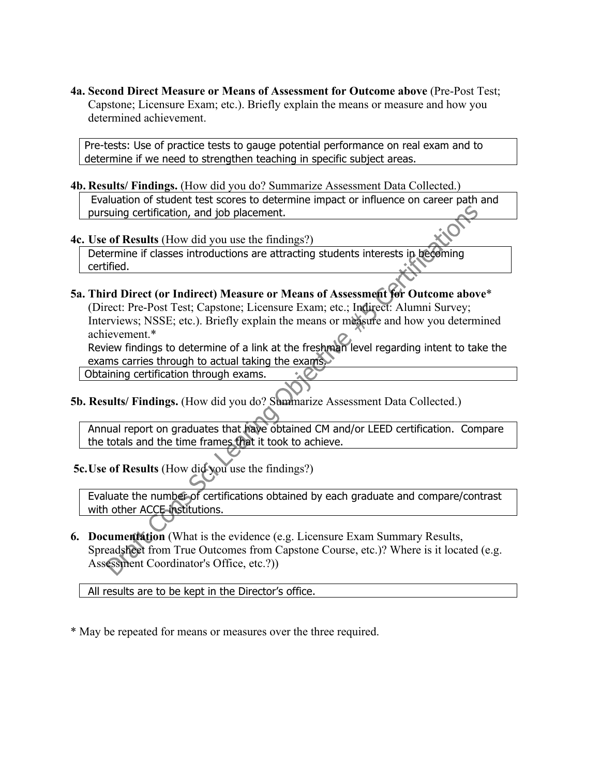**4a. Second Direct Measure or Means of Assessment for Outcome above** (Pre-Post Test; Capstone; Licensure Exam; etc.). Briefly explain the means or measure and how you determined achievement.

Pre-tests: Use of practice tests to gauge potential performance on real exam and to determine if we need to strengthen teaching in specific subject areas.

**4b. Results/ Findings.** (How did you do? Summarize Assessment Data Collected.) Evaluation of student test scores to determine impact or influence on career path and pursuing certification, and job placement.

**4c. Use of Results** (How did you use the findings?)

Determine if classes introductions are attracting students interests in becoming certified.

**5a. Third Direct (or Indirect) Measure or Means of Assessment for Outcome above**\* (Direct: Pre-Post Test; Capstone; Licensure Exam; etc.; Indirect: Alumni Survey; Interviews; NSSE; etc.). Briefly explain the means or measure and how you determined achievement.\*

Review findings to determine of a link at the freshman level regarding intent to take the exams carries through to actual taking the exams.

Obtaining certification through exams.

**5b. Results/ Findings.** (How did you do? Summarize Assessment Data Collected.)

Annual report on graduates that have obtained CM and/or LEED certification. Compare the totals and the time frames that it took to achieve.

 **5c.Use of Results** (How did you use the findings?)

Evaluate the number of certifications obtained by each graduate and compare/contrast with other ACCE institutions.

**6. Documentation** (What is the evidence (e.g. Licensure Exam Summary Results, Spreadsheet from True Outcomes from Capstone Course, etc.)? Where is it located (e.g. Assessment Coordinator's Office, etc.?))

All results are to be kept in the Director's office.

\* May be repeated for means or measures over the three required.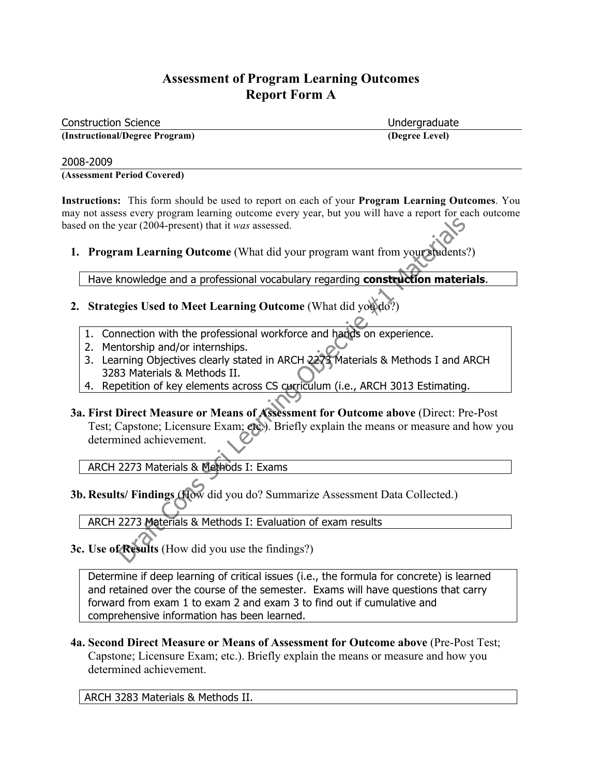| <b>Construction Science</b>    | Undergraduate  |
|--------------------------------|----------------|
| (Instructional/Degree Program) | (Degree Level) |

#### 2008-2009

**(Assessment Period Covered)**

**Instructions:** This form should be used to report on each of your **Program Learning Outcomes**. You may not assess every program learning outcome every year, but you will have a report for each outcome based on the year (2004-present) that it *was* assessed.

**1. Program Learning Outcome** (What did your program want from your students?)

Have knowledge and a professional vocabulary regarding **construction materials**.

## **2. Strategies Used to Meet Learning Outcome** (What did you do?)

- 1. Connection with the professional workforce and hands on experience.
- 2. Mentorship and/or internships.
- 3. Learning Objectives clearly stated in ARCH 2273 Materials & Methods I and ARCH 3283 Materials & Methods II.
- 4. Repetition of key elements across CS curriculum (i.e., ARCH 3013 Estimating.
- **3a. First Direct Measure or Means of Assessment for Outcome above** (Direct: Pre-Post Test; Capstone; Licensure Exam; etc.). Briefly explain the means or measure and how you determined achievement.

ARCH 2273 Materials & Methods I: Exams

**3b. Results/ Findings** (How did you do? Summarize Assessment Data Collected.)

ARCH 2273 Materials & Methods I: Evaluation of exam results

**3c. Use of Results** (How did you use the findings?)

Determine if deep learning of critical issues (i.e., the formula for concrete) is learned and retained over the course of the semester. Exams will have questions that carry forward from exam 1 to exam 2 and exam 3 to find out if cumulative and comprehensive information has been learned.

**4a. Second Direct Measure or Means of Assessment for Outcome above** (Pre-Post Test; Capstone; Licensure Exam; etc.). Briefly explain the means or measure and how you determined achievement.

ARCH 3283 Materials & Methods II.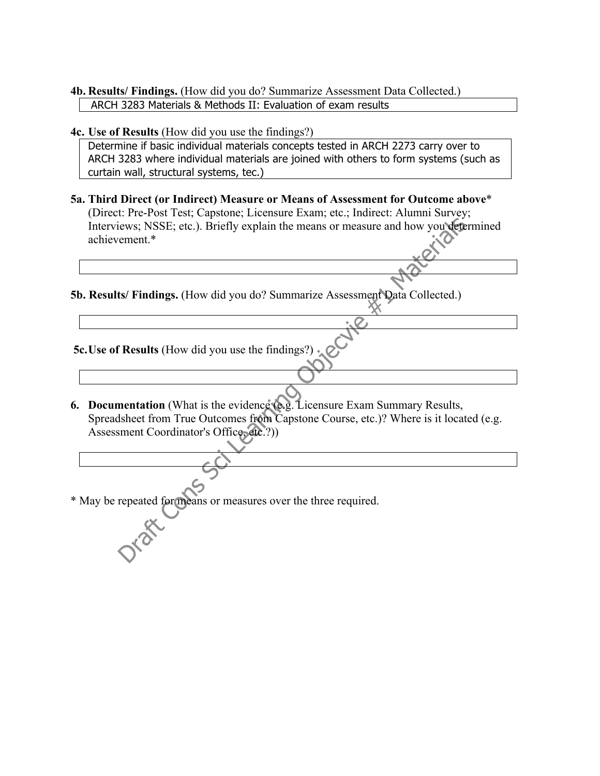#### **4b. Results/ Findings.** (How did you do? Summarize Assessment Data Collected.) ARCH 3283 Materials & Methods II: Evaluation of exam results

**4c. Use of Results** (How did you use the findings?)

Determine if basic individual materials concepts tested in ARCH 2273 carry over to ARCH 3283 where individual materials are joined with others to form systems (such as curtain wall, structural systems, tec.)

**5a. Third Direct (or Indirect) Measure or Means of Assessment for Outcome above**\* (Direct: Pre-Post Test; Capstone; Licensure Exam; etc.; Indirect: Alumni Survey; Interviews; NSSE; etc.). Briefly explain the means or measure and how you determined achievement.\*

**5b. Results/ Findings.** (How did you do? Summarize Assessment Data Collected.)

 **5c.Use of Results** (How did you use the findings?)

- **6. Documentation** (What is the evidence (e.g. Licensure Exam Summary Results, Spreadsheet from True Outcomes from Capstone Course, etc.)? Where is it located (e.g. Assessment Coordinator's Office, etc.?))
- \* May be repeated for means or measures over the three required.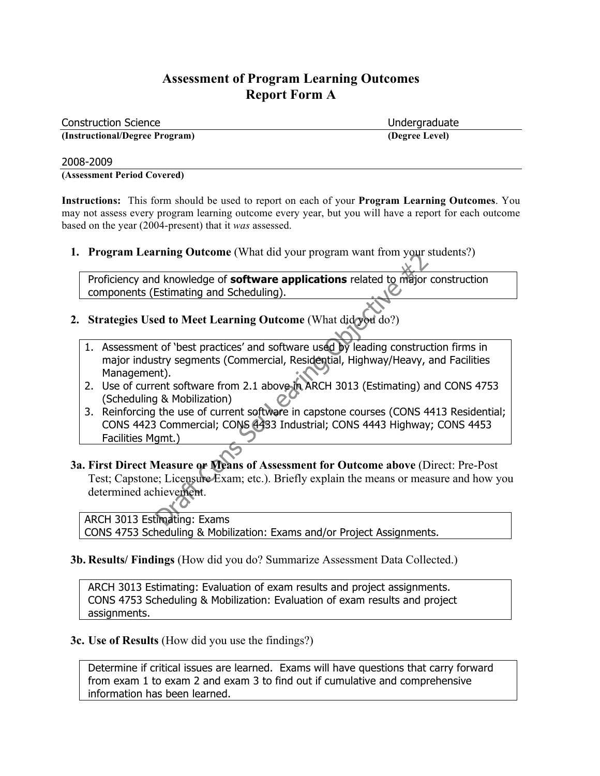| <b>Construction Science</b>    | Undergraduate  |
|--------------------------------|----------------|
| (Instructional/Degree Program) | (Degree Level) |

#### 2008-2009

**(Assessment Period Covered)**

**Instructions:** This form should be used to report on each of your **Program Learning Outcomes**. You may not assess every program learning outcome every year, but you will have a report for each outcome based on the year (2004-present) that it *was* assessed.

**1. Program Learning Outcome** (What did your program want from your students?)

Proficiency and knowledge of **software applications** related to major construction components (Estimating and Scheduling).

- **2. Strategies Used to Meet Learning Outcome** (What did you do?)
	- 1. Assessment of 'best practices' and software used by leading construction firms in major industry segments (Commercial, Residential, Highway/Heavy, and Facilities Management).
	- 2. Use of current software from 2.1 above in ARCH 3013 (Estimating) and CONS 4753 (Scheduling & Mobilization)
	- 3. Reinforcing the use of current software in capstone courses (CONS 4413 Residential; CONS 4423 Commercial; CONS 4433 Industrial; CONS 4443 Highway; CONS 4453 Facilities Mgmt.)
- **3a. First Direct Measure or Means of Assessment for Outcome above** (Direct: Pre-Post Test; Capstone; Licensure Exam; etc.). Briefly explain the means or measure and how you determined achievement.

ARCH 3013 Estimating: Exams CONS 4753 Scheduling & Mobilization: Exams and/or Project Assignments.

**3b. Results/ Findings** (How did you do? Summarize Assessment Data Collected.)

ARCH 3013 Estimating: Evaluation of exam results and project assignments. CONS 4753 Scheduling & Mobilization: Evaluation of exam results and project assignments.

#### **3c. Use of Results** (How did you use the findings?)

Determine if critical issues are learned. Exams will have questions that carry forward from exam 1 to exam 2 and exam 3 to find out if cumulative and comprehensive information has been learned.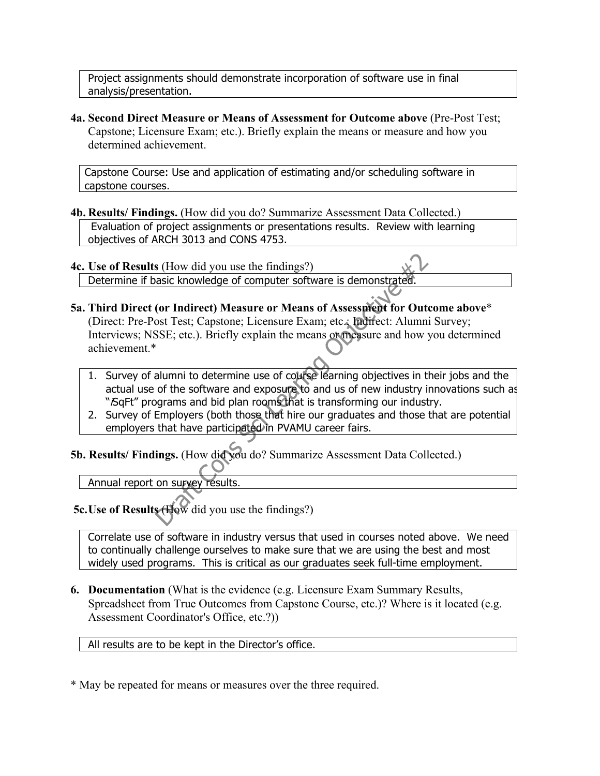Project assignments should demonstrate incorporation of software use in final analysis/presentation.

**4a. Second Direct Measure or Means of Assessment for Outcome above** (Pre-Post Test; Capstone; Licensure Exam; etc.). Briefly explain the means or measure and how you determined achievement.

Capstone Course: Use and application of estimating and/or scheduling software in capstone courses.

**4b. Results/ Findings.** (How did you do? Summarize Assessment Data Collected.) Evaluation of project assignments or presentations results. Review with learning objectives of ARCH 3013 and CONS 4753.

**4c. Use of Results** (How did you use the findings?) Determine if basic knowledge of computer software is demonstrated.

- **5a. Third Direct (or Indirect) Measure or Means of Assessment for Outcome above**\* (Direct: Pre-Post Test; Capstone; Licensure Exam; etc.; Indirect: Alumni Survey; Interviews; NSSE; etc.). Briefly explain the means or measure and how you determined achievement.\*
	- 1. Survey of alumni to determine use of course learning objectives in their jobs and the actual use of the software and exposure to and us of new industry innovations such as "SqFt" programs and bid plan rooms that is transforming our industry.
	- 2. Survey of Employers (both those that hire our graduates and those that are potential employers that have participated in PVAMU career fairs.

**5b. Results/ Findings.** (How did you do? Summarize Assessment Data Collected.)

Annual report on survey results.

 **5c.Use of Results** (How did you use the findings?)

Correlate use of software in industry versus that used in courses noted above. We need to continually challenge ourselves to make sure that we are using the best and most widely used programs. This is critical as our graduates seek full-time employment.

**6. Documentation** (What is the evidence (e.g. Licensure Exam Summary Results, Spreadsheet from True Outcomes from Capstone Course, etc.)? Where is it located (e.g. Assessment Coordinator's Office, etc.?))

All results are to be kept in the Director's office.

\* May be repeated for means or measures over the three required.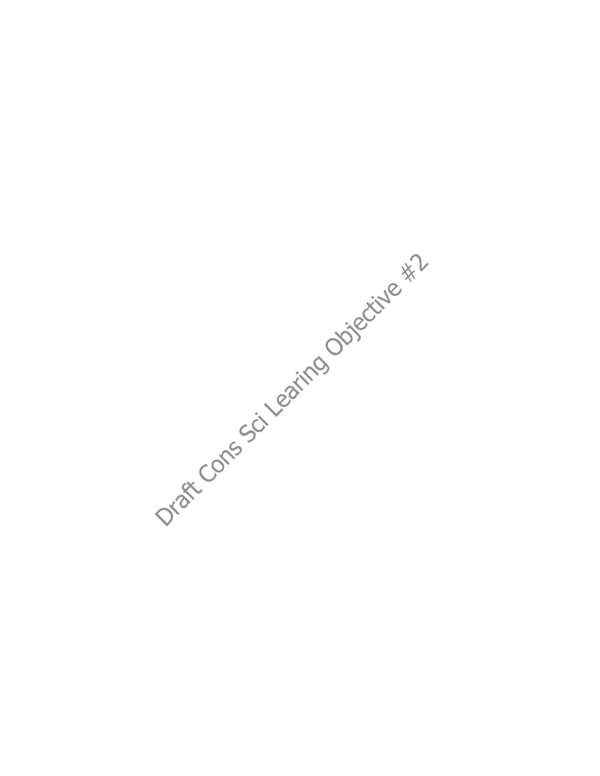Draft Cons Sci Leating Objective \*?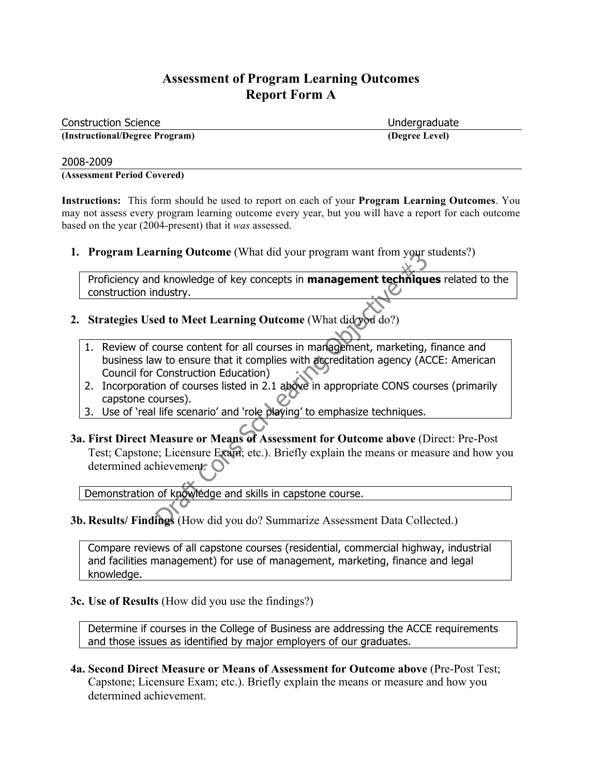| <b>Construction Science</b>    | Undergraduate  |
|--------------------------------|----------------|
| (Instructional/Degree Program) | (Degree Level) |

#### 2008-2009

**(Assessment Period Covered)**

**Instructions:** This form should be used to report on each of your **Program Learning Outcomes**. You may not assess every program learning outcome every year, but you will have a report for each outcome based on the year (2004-present) that it *was* assessed.

**1. Program Learning Outcome** (What did your program want from your students?)

Proficiency and knowledge of key concepts in **management techniques** related to the construction industry.

- **2. Strategies Used to Meet Learning Outcome** (What did you do?)
	- 1. Review of course content for all courses in management, marketing, finance and business law to ensure that it complies with accreditation agency (ACCE: American Council for Construction Education)
	- 2. Incorporation of courses listed in 2.1 above in appropriate CONS courses (primarily capstone courses).
	- 3. Use of 'real life scenario' and 'role playing' to emphasize techniques.
- **3a. First Direct Measure or Means of Assessment for Outcome above** (Direct: Pre-Post Test; Capstone; Licensure Exam; etc.). Briefly explain the means or measure and how you determined achievement.  $\bigcirc$

Demonstration of knowledge and skills in capstone course.

**3b. Results/ Findings** (How did you do? Summarize Assessment Data Collected.)

Compare reviews of all capstone courses (residential, commercial highway, industrial and facilities management) for use of management, marketing, finance and legal knowledge.

**3c. Use of Results** (How did you use the findings?)

Determine if courses in the College of Business are addressing the ACCE requirements and those issues as identified by major employers of our graduates.

**4a. Second Direct Measure or Means of Assessment for Outcome above** (Pre-Post Test; Capstone; Licensure Exam; etc.). Briefly explain the means or measure and how you determined achievement.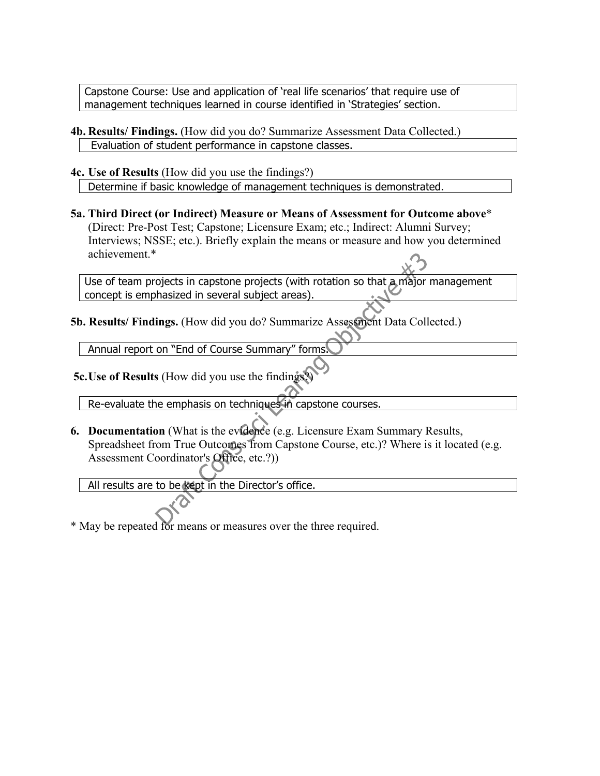Capstone Course: Use and application of 'real life scenarios' that require use of management techniques learned in course identified in 'Strategies' section.

- **4b. Results/ Findings.** (How did you do? Summarize Assessment Data Collected.) Evaluation of student performance in capstone classes.
- **4c. Use of Results** (How did you use the findings?) Determine if basic knowledge of management techniques is demonstrated.
- **5a. Third Direct (or Indirect) Measure or Means of Assessment for Outcome above**\* (Direct: Pre-Post Test; Capstone; Licensure Exam; etc.; Indirect: Alumni Survey; Interviews; NSSE; etc.). Briefly explain the means or measure and how you determined achievement.\*

Use of team projects in capstone projects (with rotation so that a major management concept is emphasized in several subject areas).

**5b. Results/ Findings.** (How did you do? Summarize Assessment Data Collected.)

Annual report on "End of Course Summary" forms.

 **5c.Use of Results** (How did you use the findings?)

Re-evaluate the emphasis on techniques in capstone courses.

**6. Documentation** (What is the evidence (e.g. Licensure Exam Summary Results, Spreadsheet from True Outcomes from Capstone Course, etc.)? Where is it located (e.g. Assessment Coordinator's Office, etc.?))

All results are to be kept in the Director's office.

\* May be repeated for means or measures over the three required.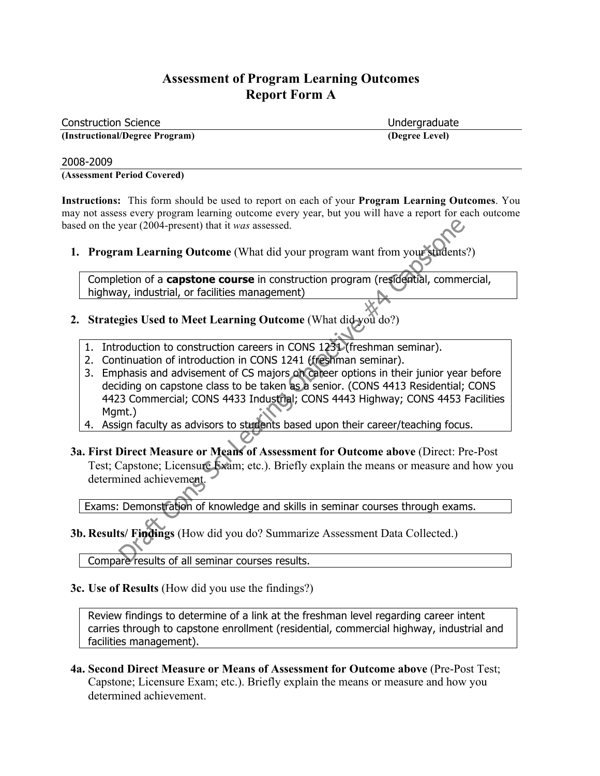| <b>Construction Science</b>    | Undergraduate  |
|--------------------------------|----------------|
| (Instructional/Degree Program) | (Degree Level) |

#### 2008-2009

**(Assessment Period Covered)**

**Instructions:** This form should be used to report on each of your **Program Learning Outcomes**. You may not assess every program learning outcome every year, but you will have a report for each outcome based on the year (2004-present) that it *was* assessed.

**1. Program Learning Outcome** (What did your program want from your students?)

Completion of a **capstone course** in construction program (residential, commercial, highway, industrial, or facilities management)

- **2. Strategies Used to Meet Learning Outcome** (What did you do?)
	- 1. Introduction to construction careers in CONS 1231 (freshman seminar).
	- 2. Continuation of introduction in CONS 1241 (freshman seminar).
	- 3. Emphasis and advisement of CS majors on career options in their junior year before deciding on capstone class to be taken as a senior. (CONS 4413 Residential; CONS 4423 Commercial; CONS 4433 Industrial; CONS 4443 Highway; CONS 4453 Facilities Mamt.)
	- 4. Assign faculty as advisors to students based upon their career/teaching focus.

**3a. First Direct Measure or Means of Assessment for Outcome above** (Direct: Pre-Post Test; Capstone; Licensure Exam; etc.). Briefly explain the means or measure and how you determined achievement.

Exams: Demonstration of knowledge and skills in seminar courses through exams.

**3b. Results/ Findings** (How did you do? Summarize Assessment Data Collected.)

Compare results of all seminar courses results.

**3c. Use of Results** (How did you use the findings?)

Review findings to determine of a link at the freshman level regarding career intent carries through to capstone enrollment (residential, commercial highway, industrial and facilities management).

**4a. Second Direct Measure or Means of Assessment for Outcome above** (Pre-Post Test; Capstone; Licensure Exam; etc.). Briefly explain the means or measure and how you determined achievement.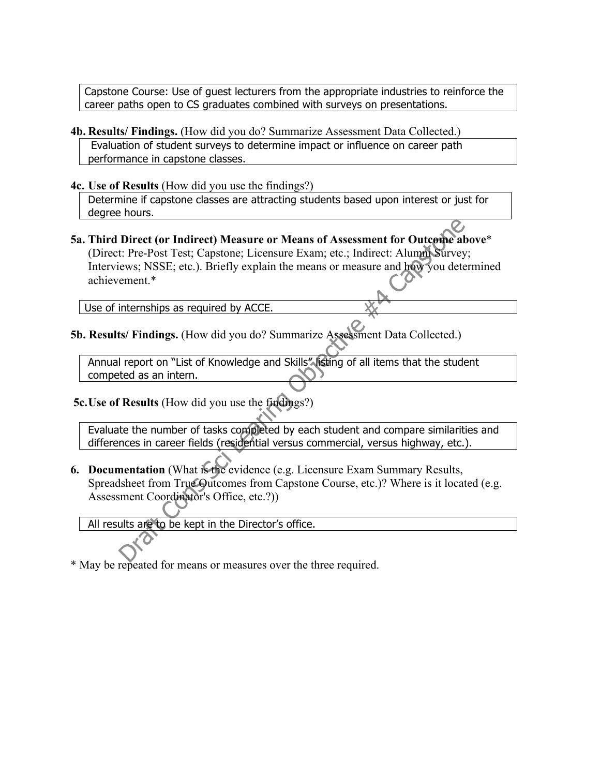Capstone Course: Use of guest lecturers from the appropriate industries to reinforce the career paths open to CS graduates combined with surveys on presentations.

- **4b. Results/ Findings.** (How did you do? Summarize Assessment Data Collected.) Evaluation of student surveys to determine impact or influence on career path performance in capstone classes.
- **4c. Use of Results** (How did you use the findings?)

Determine if capstone classes are attracting students based upon interest or just for degree hours.

**5a. Third Direct (or Indirect) Measure or Means of Assessment for Outcome above**\* (Direct: Pre-Post Test; Capstone; Licensure Exam; etc.; Indirect: Alumni Survey; Interviews; NSSE; etc.). Briefly explain the means or measure and how you determined achievement.\*

Use of internships as required by ACCE.

**5b. Results/ Findings.** (How did you do? Summarize Assessment Data Collected.)

Annual report on "List of Knowledge and Skills" listing of all items that the student competed as an intern.

 **5c.Use of Results** (How did you use the findings?)

Evaluate the number of tasks completed by each student and compare similarities and differences in career fields (residential versus commercial, versus highway, etc.).

**6. Documentation** (What is the evidence (e.g. Licensure Exam Summary Results, Spreadsheet from True Outcomes from Capstone Course, etc.)? Where is it located (e.g. Assessment Coordinator's Office, etc.?))

All results are to be kept in the Director's office.

\* May be repeated for means or measures over the three required.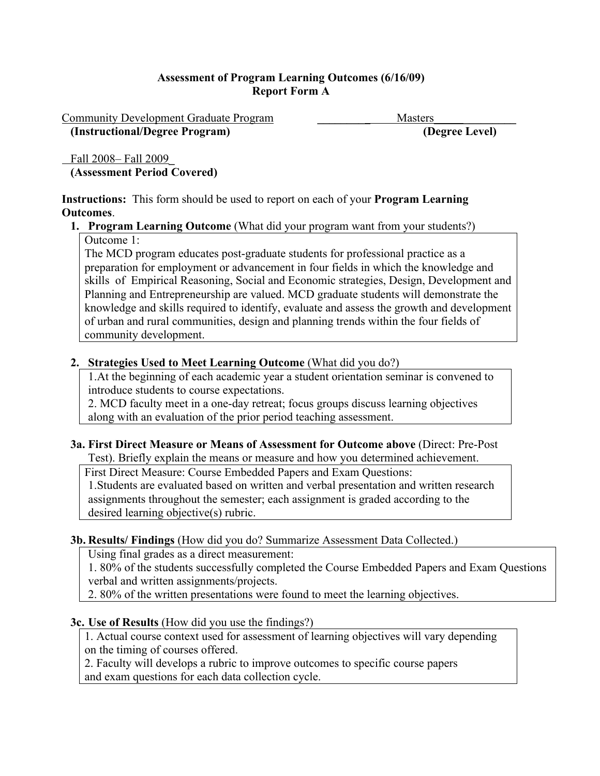Community Development Graduate Program **\_\_\_\_\_\_\_\_**\_ Masters\_\_\_\_\_**\_\_\_\_\_\_\_\_\_ (Instructional/Degree Program) (Degree Level)**

 Fall 2008– Fall 2009**\_ (Assessment Period Covered)**

**Instructions:** This form should be used to report on each of your **Program Learning Outcomes**.

# **1. Program Learning Outcome** (What did your program want from your students?)

Outcome 1:

The MCD program educates post-graduate students for professional practice as a preparation for employment or advancement in four fields in which the knowledge and skills of Empirical Reasoning, Social and Economic strategies, Design, Development and Planning and Entrepreneurship are valued. MCD graduate students will demonstrate the knowledge and skills required to identify, evaluate and assess the growth and development of urban and rural communities, design and planning trends within the four fields of community development.

## **2. Strategies Used to Meet Learning Outcome** (What did you do?)

1.At the beginning of each academic year a student orientation seminar is convened to introduce students to course expectations.

2. MCD faculty meet in a one-day retreat; focus groups discuss learning objectives along with an evaluation of the prior period teaching assessment.

#### **3a. First Direct Measure or Means of Assessment for Outcome above** (Direct: Pre-Post Test). Briefly explain the means or measure and how you determined achievement.

First Direct Measure: Course Embedded Papers and Exam Questions:

1.Students are evaluated based on written and verbal presentation and written research assignments throughout the semester; each assignment is graded according to the desired learning objective(s) rubric.

## **3b. Results/ Findings** (How did you do? Summarize Assessment Data Collected.)

Using final grades as a direct measurement:

1. 80% of the students successfully completed the Course Embedded Papers and Exam Questions verbal and written assignments/projects.

2. 80% of the written presentations were found to meet the learning objectives.

# **3c. Use of Results** (How did you use the findings?)

1. Actual course context used for assessment of learning objectives will vary depending on the timing of courses offered.

2. Faculty will develops a rubric to improve outcomes to specific course papers and exam questions for each data collection cycle.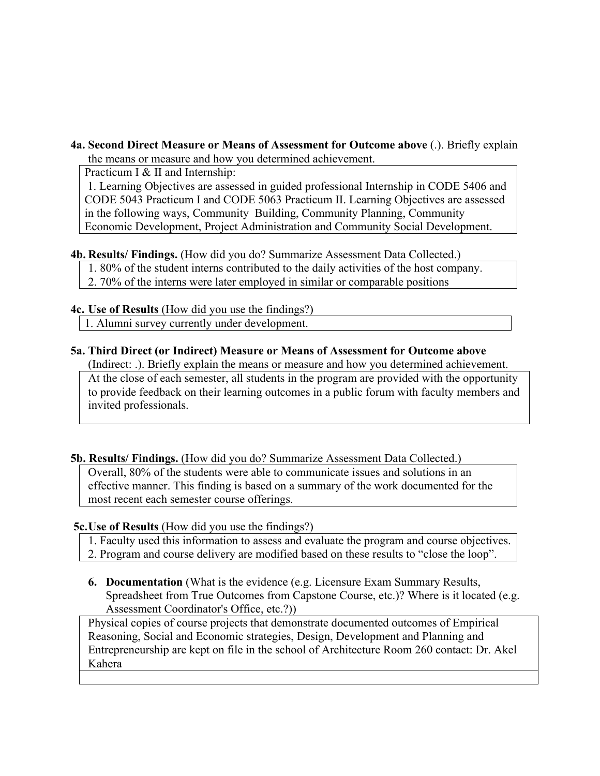#### **4a. Second Direct Measure or Means of Assessment for Outcome above** (.). Briefly explain the means or measure and how you determined achievement.

Practicum I & II and Internship:

 1. Learning Objectives are assessed in guided professional Internship in CODE 5406 and CODE 5043 Practicum I and CODE 5063 Practicum II. Learning Objectives are assessed in the following ways, Community Building, Community Planning, Community Economic Development, Project Administration and Community Social Development.

## **4b. Results/ Findings.** (How did you do? Summarize Assessment Data Collected.)

- 1. 80% of the student interns contributed to the daily activities of the host company.
- 2. 70% of the interns were later employed in similar or comparable positions

## **4c. Use of Results** (How did you use the findings?)

1. Alumni survey currently under development.

## **5a. Third Direct (or Indirect) Measure or Means of Assessment for Outcome above**

(Indirect: .). Briefly explain the means or measure and how you determined achievement. At the close of each semester, all students in the program are provided with the opportunity to provide feedback on their learning outcomes in a public forum with faculty members and invited professionals.

## **5b. Results/ Findings.** (How did you do? Summarize Assessment Data Collected.)

Overall, 80% of the students were able to communicate issues and solutions in an effective manner. This finding is based on a summary of the work documented for the most recent each semester course offerings.

## **5c.Use of Results** (How did you use the findings?)

- 1. Faculty used this information to assess and evaluate the program and course objectives.
- 2. Program and course delivery are modified based on these results to "close the loop".
- **6. Documentation** (What is the evidence (e.g. Licensure Exam Summary Results, Spreadsheet from True Outcomes from Capstone Course, etc.)? Where is it located (e.g. Assessment Coordinator's Office, etc.?))

Physical copies of course projects that demonstrate documented outcomes of Empirical Reasoning, Social and Economic strategies, Design, Development and Planning and Entrepreneurship are kept on file in the school of Architecture Room 260 contact: Dr. Akel Kahera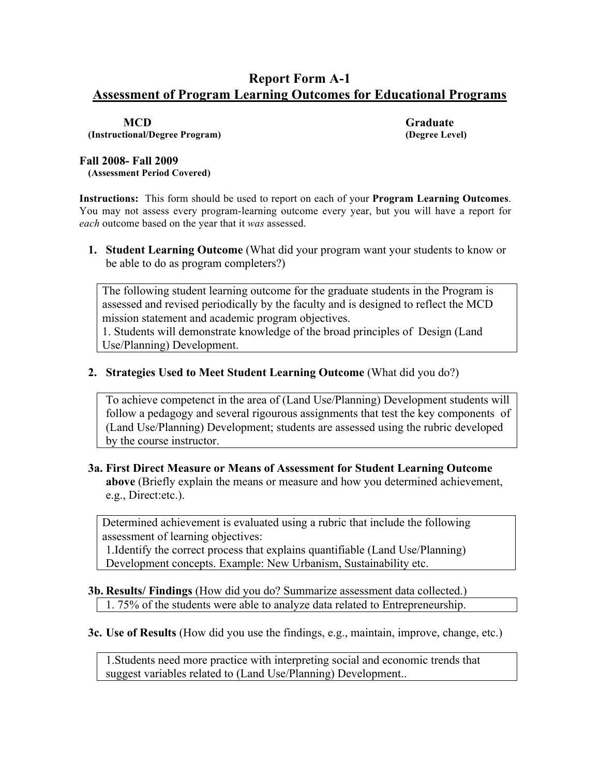# **Report Form A-1 Assessment of Program Learning Outcomes for Educational Programs**

**(Instructional/Degree Program) (Degree Level)**

**MCD Graduate**

#### **Fall 2008- Fall 2009**

**(Assessment Period Covered)**

**Instructions:** This form should be used to report on each of your **Program Learning Outcomes**. You may not assess every program-learning outcome every year, but you will have a report for *each* outcome based on the year that it *was* assessed.

**1. Student Learning Outcome** (What did your program want your students to know or be able to do as program completers?)

The following student learning outcome for the graduate students in the Program is assessed and revised periodically by the faculty and is designed to reflect the MCD mission statement and academic program objectives.

1. Students will demonstrate knowledge of the broad principles of Design (Land Use/Planning) Development.

**2. Strategies Used to Meet Student Learning Outcome** (What did you do?)

To achieve competenct in the area of (Land Use/Planning) Development students will follow a pedagogy and several rigourous assignments that test the key components of (Land Use/Planning) Development; students are assessed using the rubric developed by the course instructor.

## **3a. First Direct Measure or Means of Assessment for Student Learning Outcome above** (Briefly explain the means or measure and how you determined achievement, e.g., Direct:etc.).

Determined achievement is evaluated using a rubric that include the following assessment of learning objectives:

1.Identify the correct process that explains quantifiable (Land Use/Planning) Development concepts. Example: New Urbanism, Sustainability etc.

#### **3b. Results/ Findings** (How did you do? Summarize assessment data collected.) 1. 75% of the students were able to analyze data related to Entrepreneurship.

**3c. Use of Results** (How did you use the findings, e.g., maintain, improve, change, etc.)

1.Students need more practice with interpreting social and economic trends that suggest variables related to (Land Use/Planning) Development..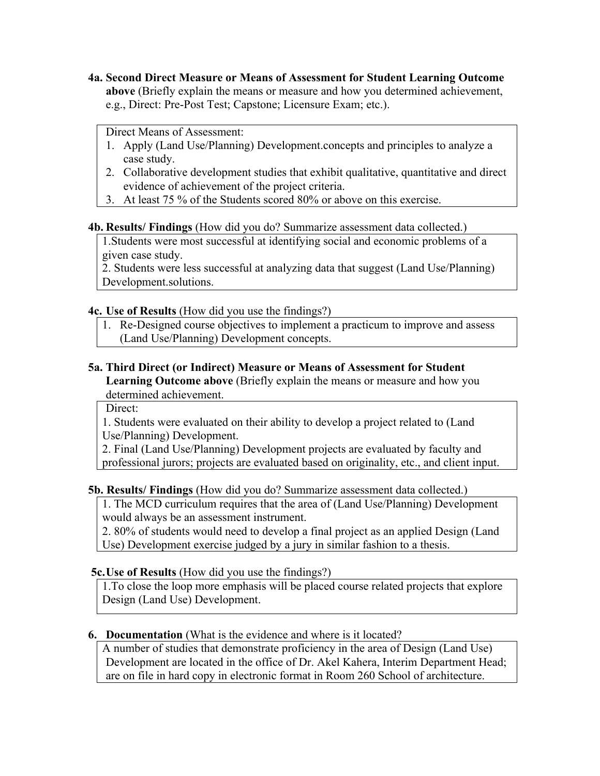**4a. Second Direct Measure or Means of Assessment for Student Learning Outcome above** (Briefly explain the means or measure and how you determined achievement, e.g., Direct: Pre-Post Test; Capstone; Licensure Exam; etc.).

## Direct Means of Assessment:

- 1. Apply (Land Use/Planning) Development.concepts and principles to analyze a case study.
- 2. Collaborative development studies that exhibit qualitative, quantitative and direct evidence of achievement of the project criteria.
- 3. At least 75 % of the Students scored 80% or above on this exercise.

## **4b. Results/ Findings** (How did you do? Summarize assessment data collected.)

1.Students were most successful at identifying social and economic problems of a given case study.

2. Students were less successful at analyzing data that suggest (Land Use/Planning) Development.solutions.

## **4c. Use of Results** (How did you use the findings?)

1. Re-Designed course objectives to implement a practicum to improve and assess (Land Use/Planning) Development concepts.

# **5a. Third Direct (or Indirect) Measure or Means of Assessment for Student**

**Learning Outcome above** (Briefly explain the means or measure and how you determined achievement.

Direct:

1. Students were evaluated on their ability to develop a project related to (Land Use/Planning) Development.

2. Final (Land Use/Planning) Development projects are evaluated by faculty and professional jurors; projects are evaluated based on originality, etc., and client input.

## **5b. Results/ Findings** (How did you do? Summarize assessment data collected.)

1. The MCD curriculum requires that the area of (Land Use/Planning) Development would always be an assessment instrument.

2. 80% of students would need to develop a final project as an applied Design (Land Use) Development exercise judged by a jury in similar fashion to a thesis.

## **5c.Use of Results** (How did you use the findings?)

1.To close the loop more emphasis will be placed course related projects that explore Design (Land Use) Development.

## **6. Documentation** (What is the evidence and where is it located?

A number of studies that demonstrate proficiency in the area of Design (Land Use) Development are located in the office of Dr. Akel Kahera, Interim Department Head; are on file in hard copy in electronic format in Room 260 School of architecture.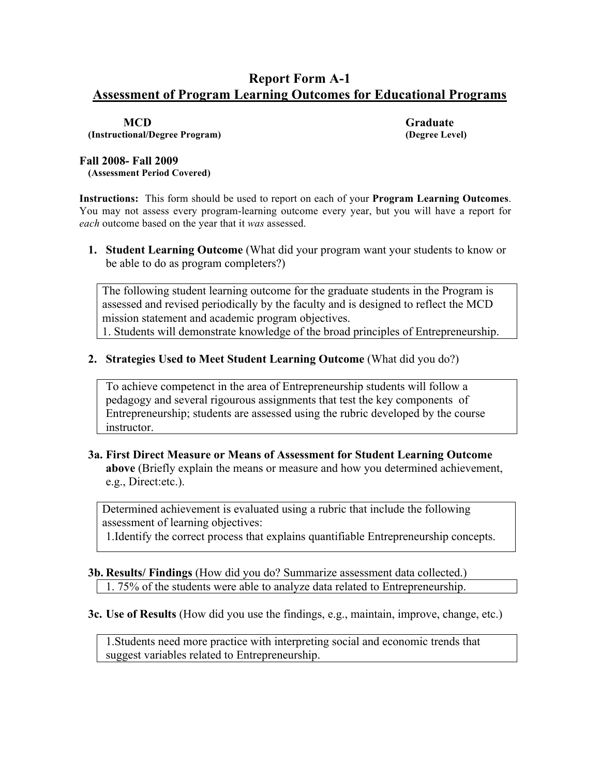# **Report Form A-1 Assessment of Program Learning Outcomes for Educational Programs**

**(Instructional/Degree Program) (Degree Level)**

**MCD Graduate**

#### **Fall 2008- Fall 2009**

**(Assessment Period Covered)**

**Instructions:** This form should be used to report on each of your **Program Learning Outcomes**. You may not assess every program-learning outcome every year, but you will have a report for *each* outcome based on the year that it *was* assessed.

**1. Student Learning Outcome** (What did your program want your students to know or be able to do as program completers?)

The following student learning outcome for the graduate students in the Program is assessed and revised periodically by the faculty and is designed to reflect the MCD mission statement and academic program objectives. 1. Students will demonstrate knowledge of the broad principles of Entrepreneurship.

#### **2. Strategies Used to Meet Student Learning Outcome** (What did you do?)

To achieve competenct in the area of Entrepreneurship students will follow a pedagogy and several rigourous assignments that test the key components of Entrepreneurship; students are assessed using the rubric developed by the course instructor.

#### **3a. First Direct Measure or Means of Assessment for Student Learning Outcome above** (Briefly explain the means or measure and how you determined achievement, e.g., Direct:etc.).

Determined achievement is evaluated using a rubric that include the following assessment of learning objectives:

1.Identify the correct process that explains quantifiable Entrepreneurship concepts.

## **3b. Results/ Findings** (How did you do? Summarize assessment data collected.) 1. 75% of the students were able to analyze data related to Entrepreneurship.

**3c. Use of Results** (How did you use the findings, e.g., maintain, improve, change, etc.)

1.Students need more practice with interpreting social and economic trends that suggest variables related to Entrepreneurship.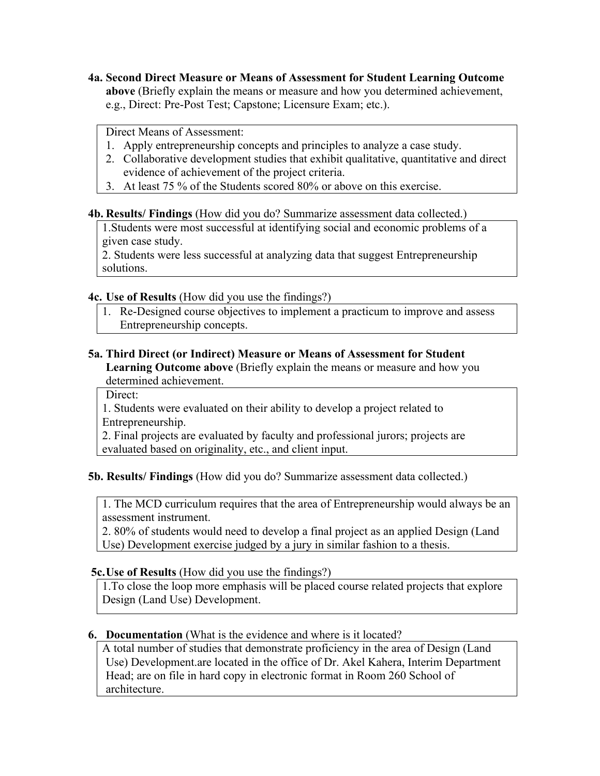**4a. Second Direct Measure or Means of Assessment for Student Learning Outcome above** (Briefly explain the means or measure and how you determined achievement, e.g., Direct: Pre-Post Test; Capstone; Licensure Exam; etc.).

Direct Means of Assessment:

- 1. Apply entrepreneurship concepts and principles to analyze a case study.
- 2. Collaborative development studies that exhibit qualitative, quantitative and direct evidence of achievement of the project criteria.
- 3. At least 75 % of the Students scored 80% or above on this exercise.

#### **4b. Results/ Findings** (How did you do? Summarize assessment data collected.)

1.Students were most successful at identifying social and economic problems of a given case study.

2. Students were less successful at analyzing data that suggest Entrepreneurship solutions.

#### **4c. Use of Results** (How did you use the findings?)

1. Re-Designed course objectives to implement a practicum to improve and assess Entrepreneurship concepts.

#### **5a. Third Direct (or Indirect) Measure or Means of Assessment for Student Learning Outcome above** (Briefly explain the means or measure and how you determined achievement.

Direct:

1. Students were evaluated on their ability to develop a project related to Entrepreneurship.

2. Final projects are evaluated by faculty and professional jurors; projects are evaluated based on originality, etc., and client input.

## **5b. Results/ Findings** (How did you do? Summarize assessment data collected.)

1. The MCD curriculum requires that the area of Entrepreneurship would always be an assessment instrument.

2. 80% of students would need to develop a final project as an applied Design (Land Use) Development exercise judged by a jury in similar fashion to a thesis.

#### **5c.Use of Results** (How did you use the findings?)

1.To close the loop more emphasis will be placed course related projects that explore Design (Land Use) Development.

#### **6. Documentation** (What is the evidence and where is it located?

A total number of studies that demonstrate proficiency in the area of Design (Land Use) Development.are located in the office of Dr. Akel Kahera, Interim Department Head; are on file in hard copy in electronic format in Room 260 School of architecture.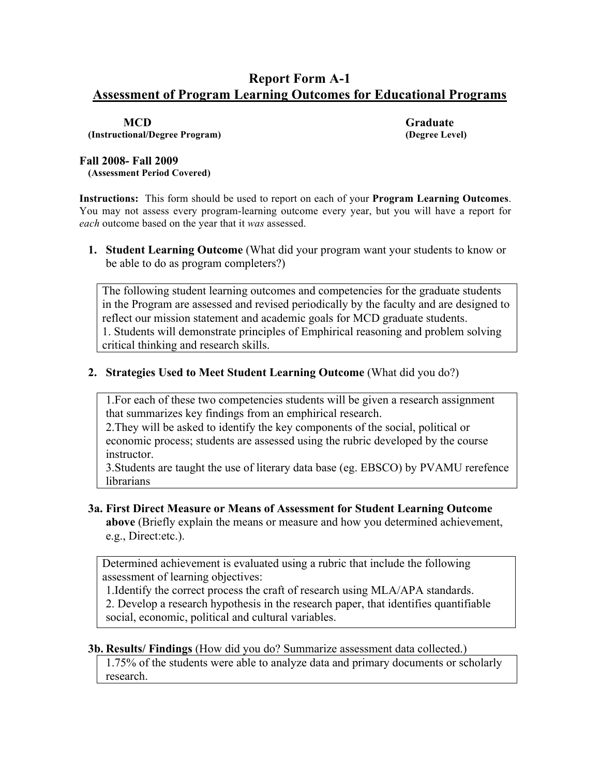# **Report Form A-1 Assessment of Program Learning Outcomes for Educational Programs**

**(Instructional/Degree Program) (Degree Level)**

**MCD Graduate**

#### **Fall 2008- Fall 2009**

**(Assessment Period Covered)**

**Instructions:** This form should be used to report on each of your **Program Learning Outcomes**. You may not assess every program-learning outcome every year, but you will have a report for *each* outcome based on the year that it *was* assessed.

**1. Student Learning Outcome** (What did your program want your students to know or be able to do as program completers?)

The following student learning outcomes and competencies for the graduate students in the Program are assessed and revised periodically by the faculty and are designed to reflect our mission statement and academic goals for MCD graduate students. 1. Students will demonstrate principles of Emphirical reasoning and problem solving critical thinking and research skills.

#### **2. Strategies Used to Meet Student Learning Outcome** (What did you do?)

1.For each of these two competencies students will be given a research assignment that summarizes key findings from an emphirical research.

2.They will be asked to identify the key components of the social, political or economic process; students are assessed using the rubric developed by the course instructor.

3.Students are taught the use of literary data base (eg. EBSCO) by PVAMU rerefence librarians

#### **3a. First Direct Measure or Means of Assessment for Student Learning Outcome above** (Briefly explain the means or measure and how you determined achievement, e.g., Direct:etc.).

Determined achievement is evaluated using a rubric that include the following assessment of learning objectives:

1.Identify the correct process the craft of research using MLA/APA standards. 2. Develop a research hypothesis in the research paper, that identifies quantifiable social, economic, political and cultural variables.

#### **3b. Results/ Findings** (How did you do? Summarize assessment data collected.)

1.75% of the students were able to analyze data and primary documents or scholarly research.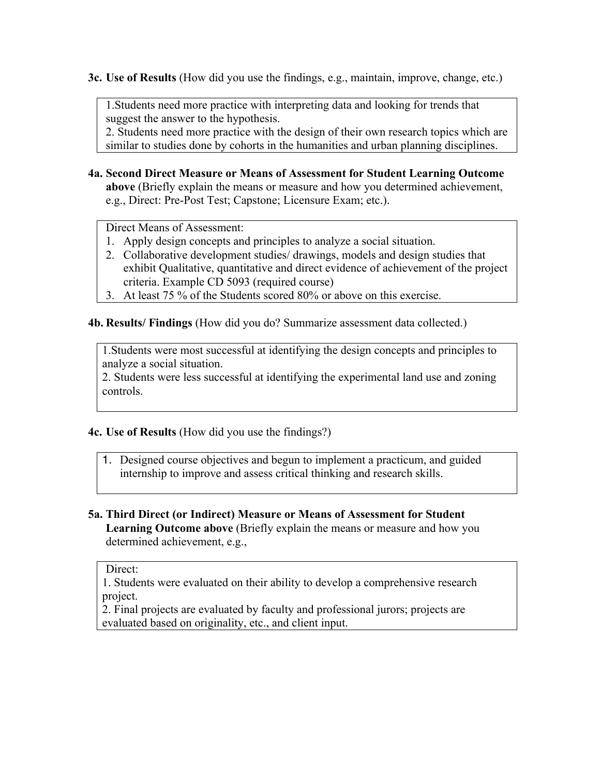**3c. Use of Results** (How did you use the findings, e.g., maintain, improve, change, etc.)

1.Students need more practice with interpreting data and looking for trends that suggest the answer to the hypothesis.

2. Students need more practice with the design of their own research topics which are similar to studies done by cohorts in the humanities and urban planning disciplines.

**4a. Second Direct Measure or Means of Assessment for Student Learning Outcome above** (Briefly explain the means or measure and how you determined achievement, e.g., Direct: Pre-Post Test; Capstone; Licensure Exam; etc.).

Direct Means of Assessment:

- 1. Apply design concepts and principles to analyze a social situation.
- 2. Collaborative development studies/ drawings, models and design studies that exhibit Qualitative, quantitative and direct evidence of achievement of the project criteria. Example CD 5093 (required course)
- 3. At least 75 % of the Students scored 80% or above on this exercise.

**4b. Results/ Findings** (How did you do? Summarize assessment data collected.)

1.Students were most successful at identifying the design concepts and principles to analyze a social situation.

2. Students were less successful at identifying the experimental land use and zoning controls.

#### **4c. Use of Results** (How did you use the findings?)

- 1. Designed course objectives and begun to implement a practicum, and guided internship to improve and assess critical thinking and research skills.
- **5a. Third Direct (or Indirect) Measure or Means of Assessment for Student Learning Outcome above** (Briefly explain the means or measure and how you determined achievement, e.g.,

#### Direct:

1. Students were evaluated on their ability to develop a comprehensive research project.

2. Final projects are evaluated by faculty and professional jurors; projects are evaluated based on originality, etc., and client input.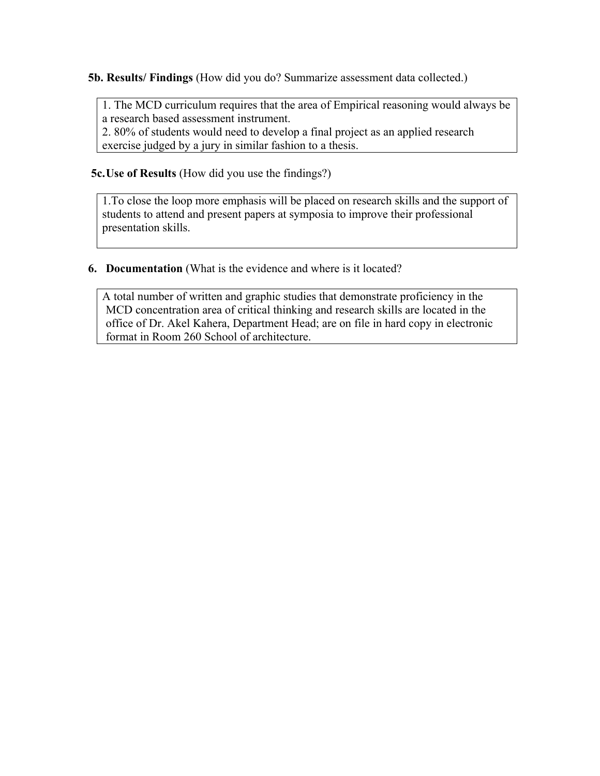**5b. Results/ Findings** (How did you do? Summarize assessment data collected.)

1. The MCD curriculum requires that the area of Empirical reasoning would always be a research based assessment instrument.

2. 80% of students would need to develop a final project as an applied research exercise judged by a jury in similar fashion to a thesis.

 **5c.Use of Results** (How did you use the findings?)

1.To close the loop more emphasis will be placed on research skills and the support of students to attend and present papers at symposia to improve their professional presentation skills.

**6. Documentation** (What is the evidence and where is it located?

A total number of written and graphic studies that demonstrate proficiency in the MCD concentration area of critical thinking and research skills are located in the office of Dr. Akel Kahera, Department Head; are on file in hard copy in electronic format in Room 260 School of architecture.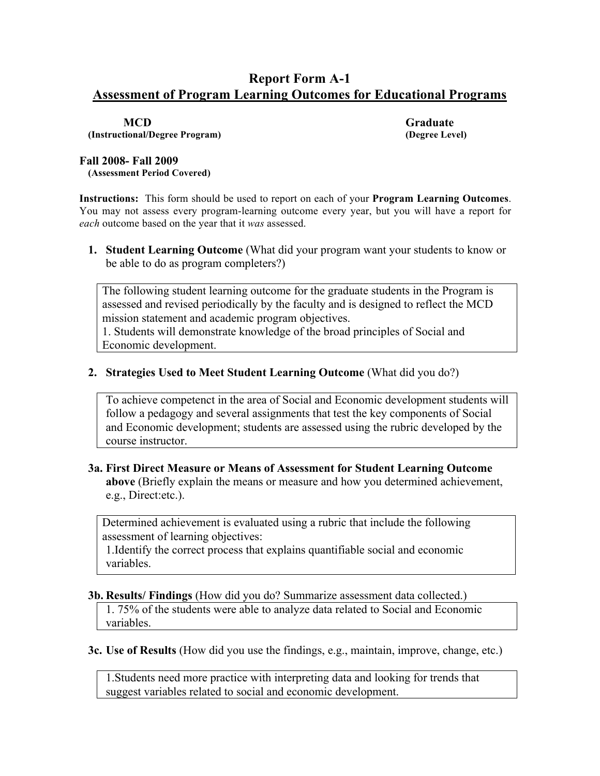# **Report Form A-1 Assessment of Program Learning Outcomes for Educational Programs**

**(Instructional/Degree Program) (Degree Level)**

**MCD Graduate**

#### **Fall 2008- Fall 2009**

**(Assessment Period Covered)**

**Instructions:** This form should be used to report on each of your **Program Learning Outcomes**. You may not assess every program-learning outcome every year, but you will have a report for *each* outcome based on the year that it *was* assessed.

**1. Student Learning Outcome** (What did your program want your students to know or be able to do as program completers?)

The following student learning outcome for the graduate students in the Program is assessed and revised periodically by the faculty and is designed to reflect the MCD mission statement and academic program objectives.

1. Students will demonstrate knowledge of the broad principles of Social and Economic development.

#### **2. Strategies Used to Meet Student Learning Outcome** (What did you do?)

To achieve competenct in the area of Social and Economic development students will follow a pedagogy and several assignments that test the key components of Social and Economic development; students are assessed using the rubric developed by the course instructor.

#### **3a. First Direct Measure or Means of Assessment for Student Learning Outcome above** (Briefly explain the means or measure and how you determined achievement, e.g., Direct:etc.).

Determined achievement is evaluated using a rubric that include the following assessment of learning objectives:

1.Identify the correct process that explains quantifiable social and economic variables.

#### **3b. Results/ Findings** (How did you do? Summarize assessment data collected.)

1. 75% of the students were able to analyze data related to Social and Economic variables.

**3c. Use of Results** (How did you use the findings, e.g., maintain, improve, change, etc.)

1.Students need more practice with interpreting data and looking for trends that suggest variables related to social and economic development.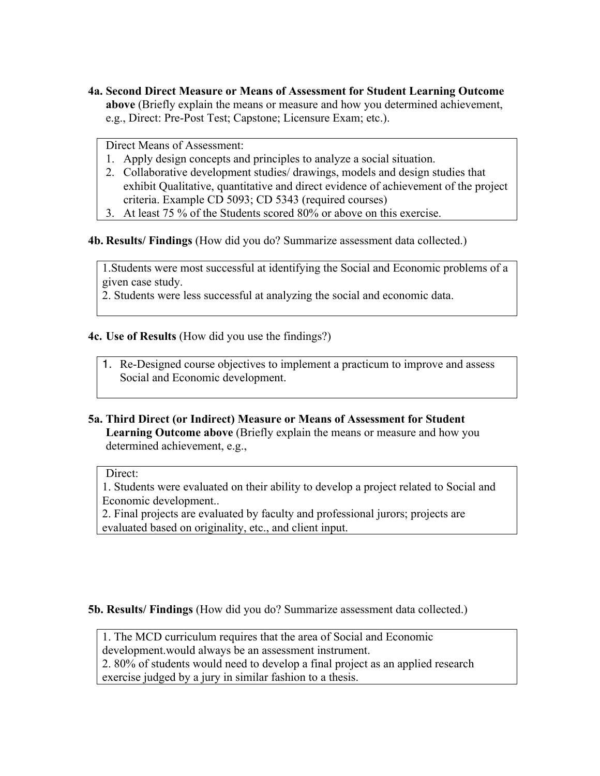**4a. Second Direct Measure or Means of Assessment for Student Learning Outcome above** (Briefly explain the means or measure and how you determined achievement, e.g., Direct: Pre-Post Test; Capstone; Licensure Exam; etc.).

Direct Means of Assessment:

- 1. Apply design concepts and principles to analyze a social situation.
- 2. Collaborative development studies/ drawings, models and design studies that exhibit Qualitative, quantitative and direct evidence of achievement of the project criteria. Example CD 5093; CD 5343 (required courses)
- 3. At least 75 % of the Students scored 80% or above on this exercise.

**4b. Results/ Findings** (How did you do? Summarize assessment data collected.)

1.Students were most successful at identifying the Social and Economic problems of a given case study.

2. Students were less successful at analyzing the social and economic data.

#### **4c. Use of Results** (How did you use the findings?)

1. Re-Designed course objectives to implement a practicum to improve and assess Social and Economic development.

**5a. Third Direct (or Indirect) Measure or Means of Assessment for Student Learning Outcome above** (Briefly explain the means or measure and how you determined achievement, e.g.,

#### Direct:

1. Students were evaluated on their ability to develop a project related to Social and Economic development..

2. Final projects are evaluated by faculty and professional jurors; projects are evaluated based on originality, etc., and client input.

**5b. Results/ Findings** (How did you do? Summarize assessment data collected.)

1. The MCD curriculum requires that the area of Social and Economic development.would always be an assessment instrument.

2. 80% of students would need to develop a final project as an applied research exercise judged by a jury in similar fashion to a thesis.